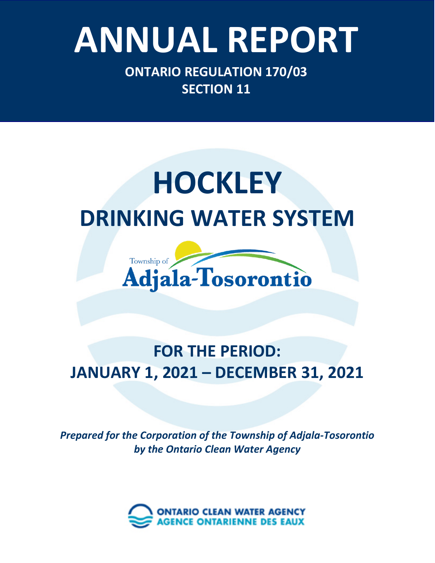# Ontario Clean Water Agency – *Minesing Well Supply System* **ANNUAL REPORT**

**ONTARIO REGULATION 170/03 SECTION 11**

## **HOCKLEY DRINKING WATER SYSTEM**



### **FOR THE PERIOD: JANUARY 1, 2021 – DECEMBER 31, 2021**

*Prepared for the Corporation of the Township of Adjala-Tosorontio by the Ontario Clean Water Agency*

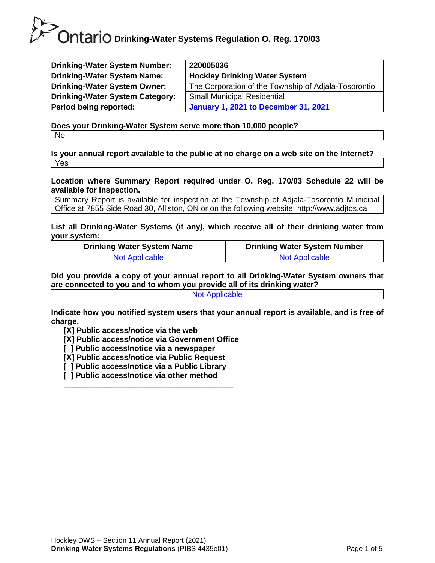**Drinking-Water System Number: Drinking-Water System Name: Drinking-Water System Owner: Drinking-Water System Category: Period being reported:** 

| 220005036                                            |
|------------------------------------------------------|
| <b>Hockley Drinking Water System</b>                 |
| The Corporation of the Township of Adjala-Tosorontio |
| <b>Small Municipal Residential</b>                   |
| <b>January 1, 2021 to December 31, 2021</b>          |
|                                                      |

**Does your Drinking-Water System serve more than 10,000 people?**  No

**Is your annual report available to the public at no charge on a web site on the Internet?**  Yes

**Location where Summary Report required under O. Reg. 170/03 Schedule 22 will be available for inspection.** 

Summary Report is available for inspection at the Township of Adjala-Tosorontio Municipal Office at 7855 Side Road 30, Alliston, ON or on the following website: [http://www.adjtos.ca](http://www.adjtos.ca/)

**List all Drinking-Water Systems (if any), which receive all of their drinking water from your system:**

| <b>Drinking Water System Name</b> | <b>Drinking Water System Number</b> |
|-----------------------------------|-------------------------------------|
| Not Applicable                    | <b>Not Applicable</b>               |

**Did you provide a copy of your annual report to all Drinking-Water System owners that are connected to you and to whom you provide all of its drinking water?** 

Not Applicable

**Indicate how you notified system users that your annual report is available, and is free of charge.** 

**[X] Public access/notice via the web** 

**[X] Public access/notice via Government Office**

**[ ] Public access/notice via a newspaper** 

**[X] Public access/notice via Public Request**

**[ ] Public access/notice via a Public Library** 

**\_\_\_\_\_\_\_\_\_\_\_\_\_\_\_\_\_\_\_\_\_\_\_\_\_\_\_\_\_\_\_\_\_\_\_\_\_\_\_**

**[ ] Public access/notice via other method**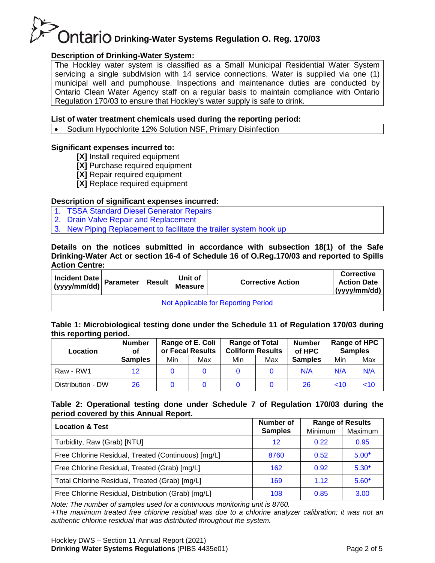#### **Description of Drinking-Water System:**

The Hockley water system is classified as a Small Municipal Residential Water System servicing a single subdivision with 14 service connections. Water is supplied via one (1) municipal well and pumphouse. Inspections and maintenance duties are conducted by Ontario Clean Water Agency staff on a regular basis to maintain compliance with Ontario Regulation 170/03 to ensure that Hockley's water supply is safe to drink.

#### **List of water treatment chemicals used during the reporting period:**

• Sodium Hypochlorite 12% Solution NSF, Primary Disinfection

#### **Significant expenses incurred to:**

- **[X]** Install required equipment
- **[X]** Purchase required equipment
- **[X]** Repair required equipment
- **[X]** Replace required equipment

#### **Description of significant expenses incurred:**

- 1. TSSA Standard Diesel Generator Repairs
- 2. Drain Valve Repair and Replacement
- 3. New Piping Replacement to facilitate the trailer system hook up

#### **Details on the notices submitted in accordance with subsection 18(1) of the Safe Drinking-Water Act or section 16-4 of Schedule 16 of O.Reg.170/03 and reported to Spills Action Centre:**

| $\left  \right $ incident Date $\left  \right $ Parameter $\left  \right $ P<br>(yyy/mm/dd) |  | <b>Result</b> | Unit of<br><b>Measure</b> | <b>Corrective Action</b> | <b>Corrective</b><br><b>Action Date</b><br>(yyyy/mm/dd) |  |  |
|---------------------------------------------------------------------------------------------|--|---------------|---------------------------|--------------------------|---------------------------------------------------------|--|--|
| Not Applicable for Reporting Period                                                         |  |               |                           |                          |                                                         |  |  |

#### **Table 1: Microbiological testing done under the Schedule 11 of Regulation 170/03 during this reporting period.**

| .<br><b>Location</b> | <b>Number</b><br>οf | Range of E. Coli<br>or Fecal Results |     | <b>Range of Total</b><br><b>Coliform Results</b> |     | <b>Number</b><br>of HPC | Range of HPC<br><b>Samples</b> |     |
|----------------------|---------------------|--------------------------------------|-----|--------------------------------------------------|-----|-------------------------|--------------------------------|-----|
|                      | <b>Samples</b>      | Min                                  | Max | Min                                              | Max | <b>Samples</b>          | Min                            | Max |
| Raw - RW1            | 12                  |                                      |     |                                                  |     | N/A                     | N/A                            | N/A |
| Distribution - DW    | 26                  |                                      |     |                                                  |     | 26                      | ~10                            | ~10 |

#### **Table 2: Operational testing done under Schedule 7 of Regulation 170/03 during the period covered by this Annual Report.**

| <b>Location &amp; Test</b>                          | Number of      |         | <b>Range of Results</b> |
|-----------------------------------------------------|----------------|---------|-------------------------|
|                                                     | <b>Samples</b> | Minimum | Maximum                 |
| Turbidity, Raw (Grab) [NTU]                         | 12             | 0.22    | 0.95                    |
| Free Chlorine Residual, Treated (Continuous) [mg/L] | 8760           | 0.52    | $5.00+$                 |
| Free Chlorine Residual, Treated (Grab) [mg/L]       | 162            | 0.92    | $5.30+$                 |
| Total Chlorine Residual, Treated (Grab) [mg/L]      | 169            | 1.12    | $5.60+$                 |
| Free Chlorine Residual, Distribution (Grab) [mg/L]  | 108            | 0.85    | 3.00                    |

*Note: The number of samples used for a continuous monitoring unit is 8760.*

*+The maximum treated free chlorine residual was due to a chlorine analyzer calibration; it was not an authentic chlorine residual that was distributed throughout the system.*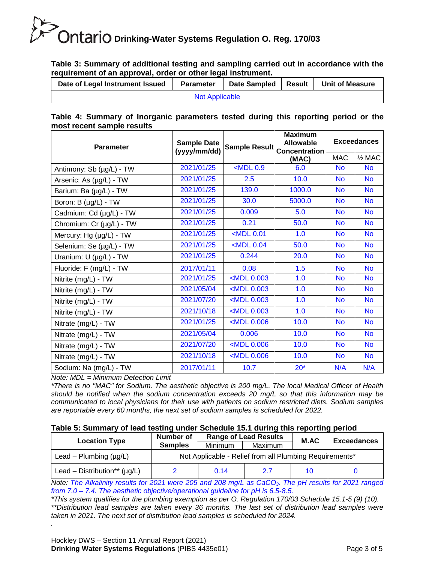**Table 3: Summary of additional testing and sampling carried out in accordance with the requirement of an approval, order or other legal instrument.**

| Date of Legal Instrument Issued | <b>Parameter</b> | <b>Date Sampled</b> | Result | <b>Unit of Measure</b> |  |  |  |
|---------------------------------|------------------|---------------------|--------|------------------------|--|--|--|
| <b>Not Applicable</b>           |                  |                     |        |                        |  |  |  |

#### **Table 4: Summary of Inorganic parameters tested during this reporting period or the most recent sample results**

| <b>Parameter</b>         | <b>Sample Date</b><br>(yyyy/mm/dd) | <b>Sample Result</b>                                                         | <b>Maximum</b><br><b>Allowable</b><br><b>Concentration</b> | <b>Exceedances</b> |                   |  |
|--------------------------|------------------------------------|------------------------------------------------------------------------------|------------------------------------------------------------|--------------------|-------------------|--|
|                          |                                    |                                                                              | (MAC)                                                      | <b>MAC</b>         | $\frac{1}{2}$ MAC |  |
| Antimony: Sb (µg/L) - TW | 2021/01/25                         | $<$ MDL $0.9$                                                                | 6.0                                                        | <b>No</b>          | <b>No</b>         |  |
| Arsenic: As (µg/L) - TW  | 2021/01/25                         | 2.5                                                                          | 10.0                                                       | <b>No</b>          | <b>No</b>         |  |
| Barium: Ba (µg/L) - TW   | 2021/01/25                         | 139.0                                                                        | 1000.0                                                     | <b>No</b>          | <b>No</b>         |  |
| Boron: B (µg/L) - TW     | 2021/01/25                         | 30.0                                                                         | 5000.0                                                     | <b>No</b>          | <b>No</b>         |  |
| Cadmium: Cd (µg/L) - TW  | 2021/01/25                         | 0.009                                                                        | 5.0                                                        | <b>No</b>          | <b>No</b>         |  |
| Chromium: Cr (µg/L) - TW | 2021/01/25                         | 0.21                                                                         | 50.0                                                       | <b>No</b>          | <b>No</b>         |  |
| Mercury: Hg (µg/L) - TW  | 2021/01/25                         | $<$ MDL 0.01                                                                 | 1.0                                                        | <b>No</b>          | <b>No</b>         |  |
| Selenium: Se (µg/L) - TW | 2021/01/25                         | $<$ MDL 0.04                                                                 | 50.0                                                       | <b>No</b>          | <b>No</b>         |  |
| Uranium: U (µg/L) - TW   | 2021/01/25                         | 0.244                                                                        | 20.0                                                       | <b>No</b>          | <b>No</b>         |  |
| Fluoride: F (mg/L) - TW  | 2017/01/11                         | 0.08                                                                         | 1.5                                                        | <b>No</b>          | <b>No</b>         |  |
| Nitrite (mg/L) - TW      | 2021/01/25                         | <mdl 0.003<="" td=""><td>1.0</td><td><b>No</b></td><td><b>No</b></td></mdl>  | 1.0                                                        | <b>No</b>          | <b>No</b>         |  |
| Nitrite (mg/L) - TW      | 2021/05/04                         | <mdl 0.003<="" td=""><td>1.0</td><td><b>No</b></td><td><b>No</b></td></mdl>  | 1.0                                                        | <b>No</b>          | <b>No</b>         |  |
| Nitrite (mg/L) - TW      | 2021/07/20                         | <mdl 0.003<="" td=""><td>1.0</td><td><b>No</b></td><td><b>No</b></td></mdl>  | 1.0                                                        | <b>No</b>          | <b>No</b>         |  |
| Nitrite (mg/L) - TW      | 2021/10/18                         | <mdl 0.003<="" td=""><td>1.0</td><td><b>No</b></td><td><b>No</b></td></mdl>  | 1.0                                                        | <b>No</b>          | <b>No</b>         |  |
| Nitrate (mg/L) - TW      | 2021/01/25                         | <mdl 0.006<="" td=""><td>10.0</td><td><b>No</b></td><td><b>No</b></td></mdl> | 10.0                                                       | <b>No</b>          | <b>No</b>         |  |
| Nitrate (mg/L) - TW      | 2021/05/04                         | 0.006                                                                        | 10.0                                                       | <b>No</b>          | <b>No</b>         |  |
| Nitrate (mg/L) - TW      | 2021/07/20                         | <mdl 0.006<="" td=""><td>10.0</td><td><b>No</b></td><td><b>No</b></td></mdl> | 10.0                                                       | <b>No</b>          | <b>No</b>         |  |
| Nitrate (mg/L) - TW      | 2021/10/18                         | <mdl 0.006<="" td=""><td>10.0</td><td><b>No</b></td><td><b>No</b></td></mdl> | 10.0                                                       | <b>No</b>          | <b>No</b>         |  |
| Sodium: Na (mg/L) - TW   | 2017/01/11                         | 10.7                                                                         | $20*$                                                      | N/A                | N/A               |  |

*Note: MDL = Minimum Detection Limit*

*.*

*\*There is no "MAC" for Sodium. The aesthetic objective is 200 mg/L. The local Medical Officer of Health should be notified when the sodium concentration exceeds 20 mg/L so that this information may be communicated to local physicians for their use with patients on sodium restricted diets. Sodium samples are reportable every 60 months, the next set of sodium samples is scheduled for 2022.*

#### **Table 5: Summary of lead testing under Schedule 15.1 during this reporting period**

|                                    | <b>Number of</b>                                        |         | <b>Range of Lead Results</b> | M.AC | <b>Exceedances</b> |  |
|------------------------------------|---------------------------------------------------------|---------|------------------------------|------|--------------------|--|
| <b>Location Type</b>               | <b>Samples</b>                                          | Minimum | Maximum                      |      |                    |  |
| Lead – Plumbing $(\mu g/L)$        | Not Applicable - Relief from all Plumbing Requirements* |         |                              |      |                    |  |
| Lead – Distribution** ( $\mu$ g/L) |                                                         | 0.14    | 2.7                          | 10   |                    |  |

*Note: The Alkalinity results for 2021 were 205 and 208 mg/L as CaCO3. The pH results for 2021 ranged from 7.0 – 7.4. The aesthetic objective/operational guideline for pH is 6.5-8.5.*

*\*This system qualifies for the plumbing exemption as per O. Regulation 170/03 Schedule 15.1-5 (9) (10). \*\*Distribution lead samples are taken every 36 months. The last set of distribution lead samples were taken in 2021. The next set of distribution lead samples is scheduled for 2024.*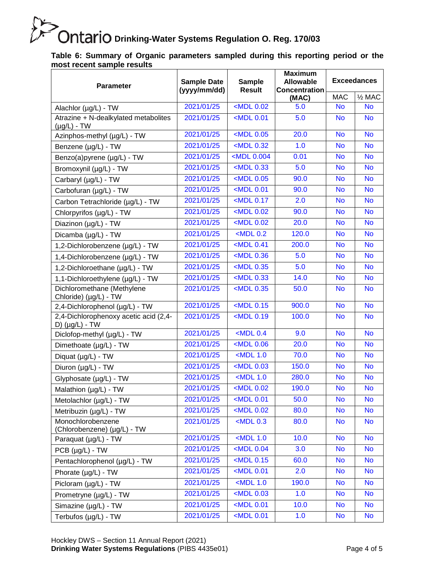**Table 6: Summary of Organic parameters sampled during this reporting period or the most recent sample results**

| <b>Parameter</b>                                             | <b>Sample Date</b><br>(yyyy/mm/dd) | <b>Sample</b><br><b>Result</b>                                               | <b>Maximum</b><br><b>Allowable</b><br><b>Concentration</b> | <b>Exceedances</b> |                   |
|--------------------------------------------------------------|------------------------------------|------------------------------------------------------------------------------|------------------------------------------------------------|--------------------|-------------------|
|                                                              |                                    |                                                                              | (MAC)                                                      | <b>MAC</b>         | $\frac{1}{2}$ MAC |
| Alachlor (µg/L) - TW                                         | 2021/01/25                         | <mdl 0.02<="" td=""><td>5.0</td><td><b>No</b></td><td><b>No</b></td></mdl>   | 5.0                                                        | <b>No</b>          | <b>No</b>         |
| Atrazine + N-dealkylated metabolites<br>$(\mu g/L)$ - TW     | 2021/01/25                         | <mdl 0.01<="" td=""><td>5.0</td><td><b>No</b></td><td><b>No</b></td></mdl>   | 5.0                                                        | <b>No</b>          | <b>No</b>         |
| Azinphos-methyl (µg/L) - TW                                  | 2021/01/25                         | <mdl 0.05<="" td=""><td>20.0</td><td><b>No</b></td><td><b>No</b></td></mdl>  | 20.0                                                       | <b>No</b>          | <b>No</b>         |
| Benzene (µg/L) - TW                                          | 2021/01/25                         | <mdl 0.32<="" td=""><td>1.0</td><td><b>No</b></td><td><b>No</b></td></mdl>   | 1.0                                                        | <b>No</b>          | <b>No</b>         |
| Benzo(a)pyrene (µg/L) - TW                                   | 2021/01/25                         | <mdl 0.004<="" td=""><td>0.01</td><td><b>No</b></td><td><b>No</b></td></mdl> | 0.01                                                       | <b>No</b>          | <b>No</b>         |
| Bromoxynil (µg/L) - TW                                       | 2021/01/25                         | $MDL$ 0.33                                                                   | 5.0                                                        | <b>No</b>          | <b>No</b>         |
| Carbaryl (µg/L) - TW                                         | 2021/01/25                         | <mdl 0.05<="" td=""><td>90.0</td><td><b>No</b></td><td><b>No</b></td></mdl>  | 90.0                                                       | <b>No</b>          | <b>No</b>         |
| Carbofuran (µg/L) - TW                                       | 2021/01/25                         | <mdl 0.01<="" td=""><td>90.0</td><td><b>No</b></td><td><b>No</b></td></mdl>  | 90.0                                                       | <b>No</b>          | <b>No</b>         |
| Carbon Tetrachloride (µg/L) - TW                             | 2021/01/25                         | <mdl 0.17<="" td=""><td>2.0</td><td><b>No</b></td><td><b>No</b></td></mdl>   | 2.0                                                        | <b>No</b>          | <b>No</b>         |
| Chlorpyrifos (µg/L) - TW                                     | 2021/01/25                         | <mdl 0.02<="" td=""><td>90.0</td><td><b>No</b></td><td><b>No</b></td></mdl>  | 90.0                                                       | <b>No</b>          | <b>No</b>         |
| Diazinon (µg/L) - TW                                         | 2021/01/25                         | <mdl 0.02<="" td=""><td>20.0</td><td><b>No</b></td><td><b>No</b></td></mdl>  | 20.0                                                       | <b>No</b>          | <b>No</b>         |
| Dicamba (µg/L) - TW                                          | 2021/01/25                         | $<$ MDL 0.2                                                                  | 120.0                                                      | <b>No</b>          | <b>No</b>         |
| 1,2-Dichlorobenzene (µg/L) - TW                              | 2021/01/25                         | <mdl 0.41<="" td=""><td>200.0</td><td><b>No</b></td><td><b>No</b></td></mdl> | 200.0                                                      | <b>No</b>          | <b>No</b>         |
| 1,4-Dichlorobenzene (µg/L) - TW                              | 2021/01/25                         | $<$ MDL 0.36                                                                 | 5.0                                                        | <b>No</b>          | <b>No</b>         |
| 1,2-Dichloroethane (µg/L) - TW                               | 2021/01/25                         | <mdl 0.35<="" td=""><td>5.0</td><td><b>No</b></td><td><b>No</b></td></mdl>   | 5.0                                                        | <b>No</b>          | <b>No</b>         |
| 1,1-Dichloroethylene (µg/L) - TW                             | 2021/01/25                         | $MDL$ 0.33                                                                   | 14.0                                                       | <b>No</b>          | <b>No</b>         |
| Dichloromethane (Methylene<br>Chloride) (µg/L) - TW          | 2021/01/25                         | <mdl 0.35<="" td=""><td>50.0</td><td><b>No</b></td><td><b>No</b></td></mdl>  | 50.0                                                       | <b>No</b>          | <b>No</b>         |
| 2,4-Dichlorophenol (µg/L) - TW                               | 2021/01/25                         | $<$ MDL 0.15                                                                 | 900.0                                                      | <b>No</b>          | <b>No</b>         |
| 2,4-Dichlorophenoxy acetic acid (2,4-<br>D) $(\mu g/L)$ - TW | 2021/01/25                         | <mdl 0.19<="" td=""><td>100.0</td><td><b>No</b></td><td><b>No</b></td></mdl> | 100.0                                                      | <b>No</b>          | <b>No</b>         |
| Diclofop-methyl (µg/L) - TW                                  | 2021/01/25                         | $<$ MDL 0.4                                                                  | 9.0                                                        | <b>No</b>          | <b>No</b>         |
| Dimethoate (µg/L) - TW                                       | 2021/01/25                         | <mdl 0.06<="" td=""><td>20.0</td><td><b>No</b></td><td><b>No</b></td></mdl>  | 20.0                                                       | <b>No</b>          | <b>No</b>         |
| Diquat (µg/L) - TW                                           | 2021/01/25                         | $<$ MDL 1.0                                                                  | 70.0                                                       | <b>No</b>          | <b>No</b>         |
| Diuron (µg/L) - TW                                           | 2021/01/25                         | <mdl 0.03<="" td=""><td>150.0</td><td><b>No</b></td><td><b>No</b></td></mdl> | 150.0                                                      | <b>No</b>          | <b>No</b>         |
| Glyphosate (µg/L) - TW                                       | 2021/01/25                         | $<$ MDL 1.0                                                                  | 280.0                                                      | <b>No</b>          | <b>No</b>         |
| Malathion (µg/L) - TW                                        | 2021/01/25                         | $<$ MDL 0.02                                                                 | 190.0                                                      | <b>No</b>          | <b>No</b>         |
| Metolachlor (µg/L) - TW                                      | 2021/01/25                         | <mdl 0.01<="" td=""><td>50.0</td><td><b>No</b></td><td><b>No</b></td></mdl>  | 50.0                                                       | <b>No</b>          | <b>No</b>         |
| Metribuzin (µg/L) - TW                                       | 2021/01/25                         | $MDL$ 0.02                                                                   | 80.0                                                       | <b>No</b>          | <b>No</b>         |
| Monochlorobenzene<br>(Chlorobenzene) (µg/L) - TW             | 2021/01/25                         | $<$ MDL 0.3                                                                  | 80.0                                                       | <b>No</b>          | <b>No</b>         |
| Paraquat (µg/L) - TW                                         | 2021/01/25                         | $<$ MDL 1.0                                                                  | 10.0                                                       | <b>No</b>          | <b>No</b>         |
| $PCB (µg/L) - TW$                                            | 2021/01/25                         | $<$ MDL 0.04                                                                 | 3.0                                                        | <b>No</b>          | <b>No</b>         |
| Pentachlorophenol (µg/L) - TW                                | 2021/01/25                         | $MDL$ 0.15                                                                   | 60.0                                                       | <b>No</b>          | <b>No</b>         |
| Phorate (µg/L) - TW                                          | 2021/01/25                         | <mdl 0.01<="" td=""><td>2.0</td><td><b>No</b></td><td><b>No</b></td></mdl>   | 2.0                                                        | <b>No</b>          | <b>No</b>         |
| Picloram (µg/L) - TW                                         | 2021/01/25                         | MDL 1.0                                                                      | 190.0                                                      | <b>No</b>          | <b>No</b>         |
| Prometryne (µg/L) - TW                                       | 2021/01/25                         | <mdl 0.03<="" td=""><td>1.0</td><td><b>No</b></td><td><b>No</b></td></mdl>   | 1.0                                                        | <b>No</b>          | <b>No</b>         |
| Simazine (µg/L) - TW                                         | 2021/01/25                         | $<$ MDL 0.01                                                                 | 10.0                                                       | <b>No</b>          | <b>No</b>         |
| Terbufos (µg/L) - TW                                         | 2021/01/25                         | $<$ MDL 0.01                                                                 | 1.0                                                        | <b>No</b>          | <b>No</b>         |